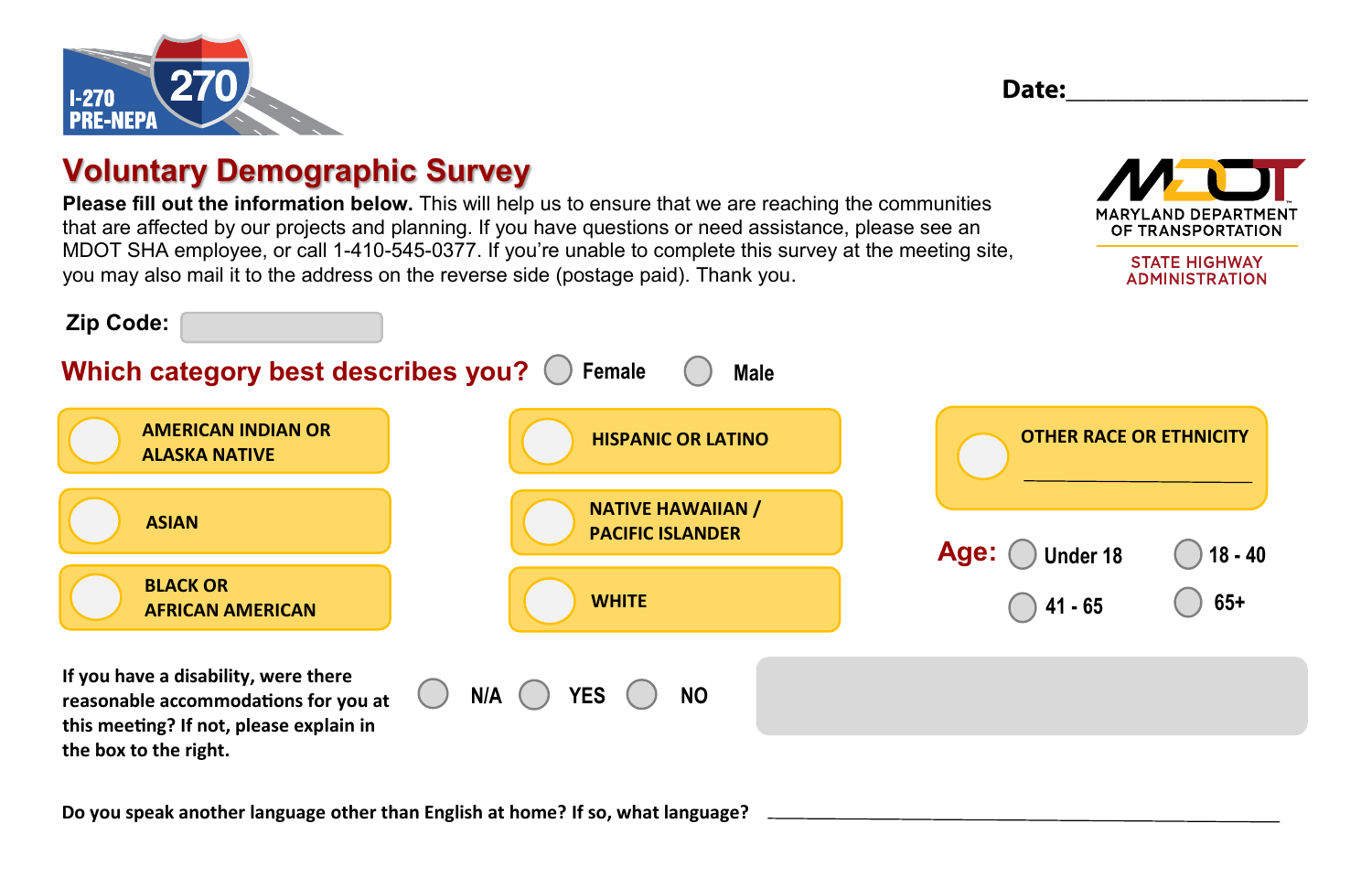



## **Voluntary Demographic Survey**

**Please fill out the information below.** This will help us to ensure that we are reaching the communities that are affected by our projects and planning. If you have questions or need assistance, please see an MDOT SHA employee, or call 1-410-545-0377. If you're unable to complete this survey at the meeting site, you may also mail it to the address on the reverse side (postage paid). Thank you.